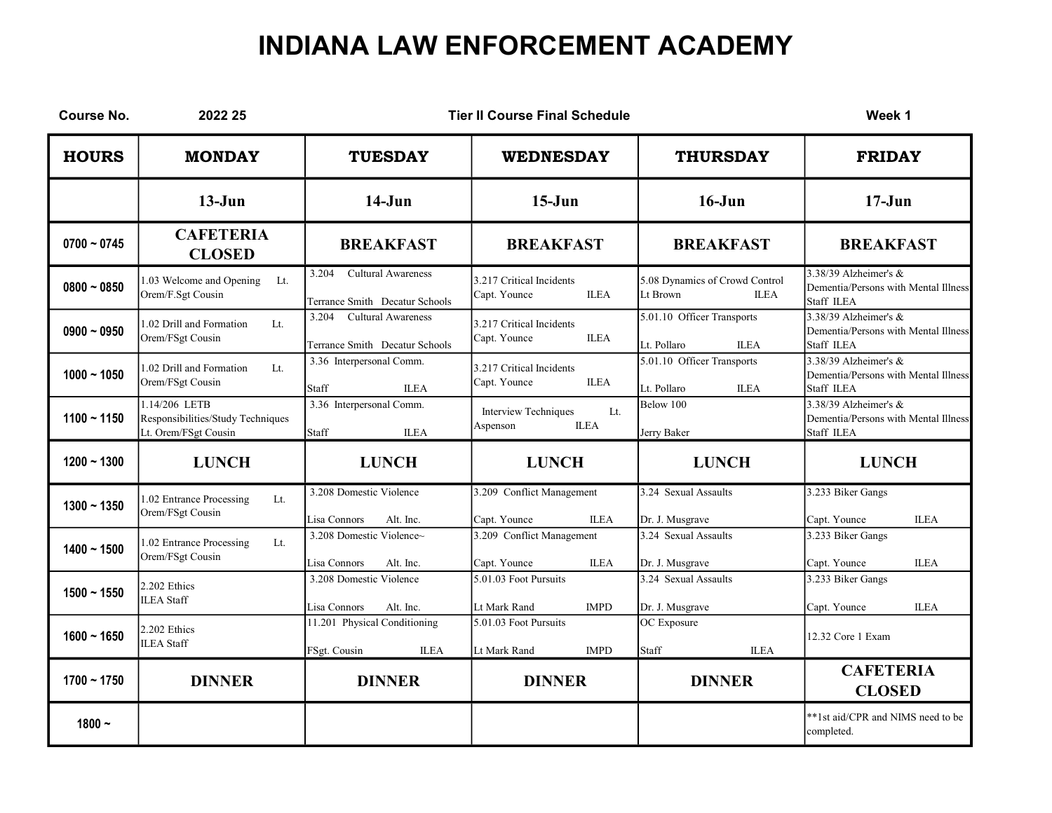| <b>Course No.</b> | 2022 25                                                                    |                                                                      | <b>Tier II Course Final Schedule</b>                          |                                                                        | Week 1                                                                        |
|-------------------|----------------------------------------------------------------------------|----------------------------------------------------------------------|---------------------------------------------------------------|------------------------------------------------------------------------|-------------------------------------------------------------------------------|
| <b>HOURS</b>      | <b>MONDAY</b>                                                              | <b>TUESDAY</b>                                                       | <b>WEDNESDAY</b>                                              | <b>THURSDAY</b>                                                        | <b>FRIDAY</b>                                                                 |
|                   | $13-J$ un                                                                  | $14-J$ un                                                            | $15-J$ un                                                     | $16 - Jun$                                                             | $17 - Jun$                                                                    |
| $0700 - 0745$     | <b>CAFETERIA</b><br><b>CLOSED</b>                                          | <b>BREAKFAST</b>                                                     | <b>BREAKFAST</b>                                              | <b>BREAKFAST</b>                                                       | <b>BREAKFAST</b>                                                              |
| $0800 - 0850$     | 1.03 Welcome and Opening<br>Lt.<br>Orem/F.Sgt Cousin                       | 3.204<br><b>Cultural Awareness</b><br>Terrance Smith Decatur Schools | 3.217 Critical Incidents<br>Capt. Younce<br><b>ILEA</b>       | 5.08 Dynamics of Crowd Control<br>Lt Brown<br><b>ILEA</b>              | 3.38/39 Alzheimer's $&$<br>Dementia/Persons with Mental Illness<br>Staff ILEA |
| $0900 - 0950$     | 1.02 Drill and Formation<br>Lt.<br>Orem/FSgt Cousin                        | 3.204<br><b>Cultural Awareness</b><br>Terrance Smith Decatur Schools | 3.217 Critical Incidents<br>Capt. Younce<br><b>ILEA</b>       | $\overline{5.01}$ .10 Officer Transports<br>Lt. Pollaro<br><b>ILEA</b> | 3.38/39 Alzheimer's $&$<br>Dementia/Persons with Mental Illness<br>Staff ILEA |
| $1000 - 1050$     | 1.02 Drill and Formation<br>It.<br>Orem/FSgt Cousin                        | 3.36 Interpersonal Comm.<br>Staff<br><b>ILEA</b>                     | 3.217 Critical Incidents<br>Capt. Younce<br><b>ILEA</b>       | 5.01.10 Officer Transports<br>Lt. Pollaro<br><b>ILEA</b>               | 3.38/39 Alzheimer's $&$<br>Dementia/Persons with Mental Illness<br>Staff ILEA |
| $1100 - 1150$     | 1.14/206 LETB<br>Responsibilities/Study Techniques<br>Lt. Orem/FSgt Cousin | 3.36 Interpersonal Comm.<br>Staff<br><b>ILEA</b>                     | <b>Interview Techniques</b><br>Lt.<br><b>ILEA</b><br>Aspenson | Below 100<br>Jerry Baker                                               | 3.38/39 Alzheimer's $&$<br>Dementia/Persons with Mental Illness<br>Staff ILEA |
| $1200 - 1300$     | <b>LUNCH</b>                                                               | <b>LUNCH</b>                                                         | <b>LUNCH</b>                                                  | <b>LUNCH</b>                                                           | <b>LUNCH</b>                                                                  |
| $1300 - 1350$     | 1.02 Entrance Processing<br>Lt.<br>Orem/FSgt Cousin                        | 3.208 Domestic Violence<br>Alt. Inc.<br>Lisa Connors                 | 3.209 Conflict Management<br>Capt. Younce<br><b>ILEA</b>      | 3.24 Sexual Assaults<br>Dr. J. Musgrave                                | 3.233 Biker Gangs<br>Capt. Younce<br><b>ILEA</b>                              |
| $1400 - 1500$     | 1.02 Entrance Processing<br>Lt.<br>Orem/FSgt Cousin                        | 3.208 Domestic Violence~<br>Lisa Connors<br>Alt. Inc.                | 3.209 Conflict Management<br>Capt. Younce<br><b>ILEA</b>      | 3.24 Sexual Assaults<br>Dr. J. Musgrave                                | 3.233 Biker Gangs<br>Capt. Younce<br><b>ILEA</b>                              |
| $1500 - 1550$     | 2.202 Ethics<br><b>ILEA</b> Staff                                          | 3.208 Domestic Violence<br>Lisa Connors<br>Alt. Inc.                 | 5.01.03 Foot Pursuits<br>Lt Mark Rand<br><b>IMPD</b>          | 3.24 Sexual Assaults<br>Dr. J. Musgrave                                | 3.233 Biker Gangs<br>Capt. Younce<br><b>ILEA</b>                              |
| $1600 - 1650$     | 2.202 Ethics<br><b>ILEA</b> Staff                                          | 11.201 Physical Conditioning<br>FSgt. Cousin<br><b>ILEA</b>          | 5.01.03 Foot Pursuits<br><b>IMPD</b><br>Lt Mark Rand          | OC Exposure<br><b>ILEA</b><br>Staff                                    | 12.32 Core 1 Exam                                                             |
| $1700 - 1750$     | <b>DINNER</b>                                                              | <b>DINNER</b>                                                        | <b>DINNER</b>                                                 | <b>DINNER</b>                                                          | <b>CAFETERIA</b><br><b>CLOSED</b>                                             |
| $1800 -$          |                                                                            |                                                                      |                                                               |                                                                        | **1st aid/CPR and NIMS need to be<br>completed.                               |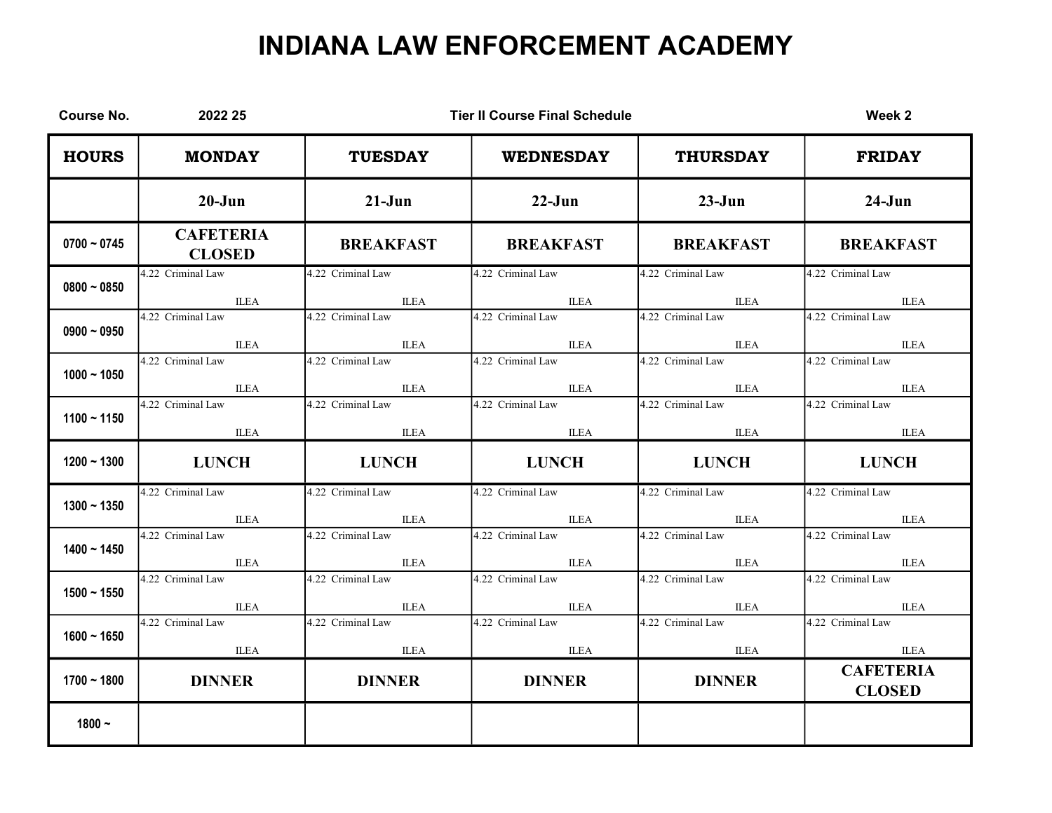| <b>Course No.</b> | 2022 25                           | <b>Tier II Course Final Schedule</b> |                   |                   | Week 2                            |
|-------------------|-----------------------------------|--------------------------------------|-------------------|-------------------|-----------------------------------|
| <b>HOURS</b>      | <b>MONDAY</b>                     | <b>TUESDAY</b>                       | <b>WEDNESDAY</b>  | <b>THURSDAY</b>   | <b>FRIDAY</b>                     |
|                   | $20 - Jun$                        | $21-Jun$                             | $22-Jun$          | $23-Jun$          | $24-J$ un                         |
| $0700 - 0745$     | <b>CAFETERIA</b><br><b>CLOSED</b> | <b>BREAKFAST</b>                     | <b>BREAKFAST</b>  | <b>BREAKFAST</b>  | <b>BREAKFAST</b>                  |
| $0800 - 0850$     | 4.22 Criminal Law                 | 4.22 Criminal Law                    | 4.22 Criminal Law | 4.22 Criminal Law | 4.22 Criminal Law                 |
|                   | <b>ILEA</b>                       | <b>ILEA</b>                          | <b>ILEA</b>       | ILEA              | ILEA                              |
| $0900 - 0950$     | 4.22 Criminal Law                 | 4.22 Criminal Law                    | 4.22 Criminal Law | 4.22 Criminal Law | 4.22 Criminal Law                 |
|                   | <b>ILEA</b>                       | <b>ILEA</b>                          | <b>ILEA</b>       | ILEA              | <b>ILEA</b>                       |
| $1000 - 1050$     | 4.22 Criminal Law                 | 4.22 Criminal Law                    | 4.22 Criminal Law | 4.22 Criminal Law | 4.22 Criminal Law                 |
|                   | <b>ILEA</b>                       | <b>ILEA</b>                          | <b>ILEA</b>       | <b>ILEA</b>       | <b>ILEA</b>                       |
| $1100 - 1150$     | 4.22 Criminal Law                 | 4.22 Criminal Law                    | 4.22 Criminal Law | 4.22 Criminal Law | 4.22 Criminal Law                 |
|                   | <b>ILEA</b>                       | <b>ILEA</b>                          | <b>ILEA</b>       | <b>ILEA</b>       | <b>ILEA</b>                       |
| $1200 - 1300$     | <b>LUNCH</b>                      | <b>LUNCH</b>                         | <b>LUNCH</b>      | <b>LUNCH</b>      | <b>LUNCH</b>                      |
| $1300 - 1350$     | 4.22 Criminal Law                 | 4.22 Criminal Law                    | 4.22 Criminal Law | 4.22 Criminal Law | 4.22 Criminal Law                 |
|                   | <b>ILEA</b>                       | <b>ILEA</b>                          | <b>ILEA</b>       | <b>ILEA</b>       | <b>ILEA</b>                       |
| $1400 - 1450$     | 4.22 Criminal Law                 | 4.22 Criminal Law                    | 4.22 Criminal Law | 4.22 Criminal Law | 4.22 Criminal Law                 |
|                   | <b>ILEA</b>                       | <b>ILEA</b>                          | <b>ILEA</b>       | <b>ILEA</b>       | <b>ILEA</b>                       |
| $1500 - 1550$     | 4.22 Criminal Law                 | 4.22 Criminal Law                    | 4.22 Criminal Law | 4.22 Criminal Law | 4.22 Criminal Law                 |
|                   | <b>ILEA</b>                       | <b>ILEA</b>                          | <b>ILEA</b>       | <b>ILEA</b>       | <b>ILEA</b>                       |
| $1600 - 1650$     | 4.22 Criminal Law                 | 4.22 Criminal Law                    | 4.22 Criminal Law | 4.22 Criminal Law | 4.22 Criminal Law                 |
|                   | <b>ILEA</b>                       | <b>ILEA</b>                          | ILEA              | ILEA              | ILEA                              |
| $1700 - 1800$     | <b>DINNER</b>                     | <b>DINNER</b>                        | <b>DINNER</b>     | <b>DINNER</b>     | <b>CAFETERIA</b><br><b>CLOSED</b> |
| $1800 -$          |                                   |                                      |                   |                   |                                   |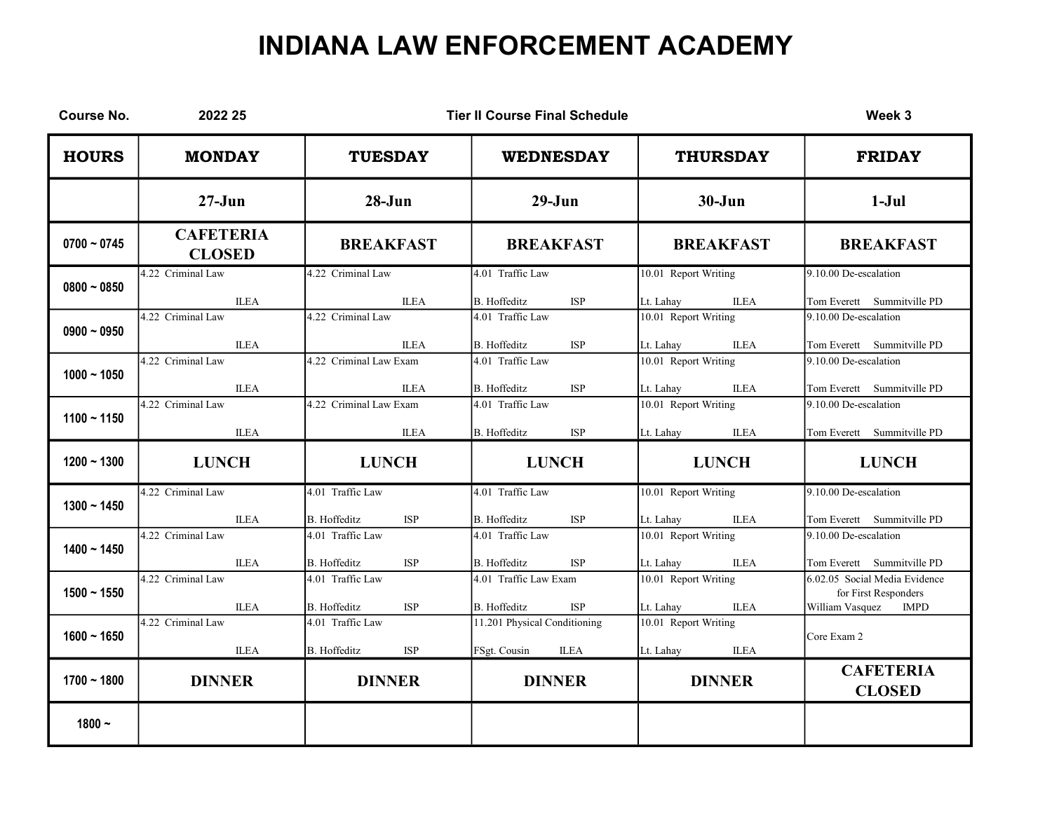| <b>Course No.</b> | 2022 25                           |                                                       | <b>Tier II Course Final Schedule</b>                        |                                                  | Week 3                                                                                  |
|-------------------|-----------------------------------|-------------------------------------------------------|-------------------------------------------------------------|--------------------------------------------------|-----------------------------------------------------------------------------------------|
| <b>HOURS</b>      | <b>MONDAY</b>                     | <b>TUESDAY</b>                                        | <b>WEDNESDAY</b>                                            | <b>THURSDAY</b>                                  | <b>FRIDAY</b>                                                                           |
|                   | $27 - Jun$                        | $28 - Jun$                                            | $29-J$ un                                                   | $30 - Jun$                                       | $1-Jul$                                                                                 |
| $0700 - 0745$     | <b>CAFETERIA</b><br><b>CLOSED</b> | <b>BREAKFAST</b>                                      | <b>BREAKFAST</b>                                            | <b>BREAKFAST</b>                                 | <b>BREAKFAST</b>                                                                        |
| $0800 - 0850$     | 4.22 Criminal Law<br><b>ILEA</b>  | 4.22 Criminal Law<br><b>ILEA</b>                      | 4.01 Traffic Law<br>B. Hoffeditz<br><b>ISP</b>              | 10.01 Report Writing<br>Lt. Lahay<br><b>ILEA</b> | 9.10.00 De-escalation<br>Tom Everett Summitville PD                                     |
| $0900 - 0950$     | 4.22 Criminal Law<br><b>ILEA</b>  | 4.22 Criminal Law<br><b>ILEA</b>                      | 4.01 Traffic Law<br><b>B.</b> Hoffeditz<br><b>ISP</b>       | 10.01 Report Writing<br><b>ILEA</b><br>Lt. Lahay | 9.10.00 De-escalation<br>Tom Everett Summitville PD                                     |
| $1000 - 1050$     | 4.22 Criminal Law<br><b>ILEA</b>  | 4.22 Criminal Law Exam<br><b>ILEA</b>                 | 4.01 Traffic Law<br>B. Hoffeditz<br><b>ISP</b>              | 10.01 Report Writing<br>Lt. Lahay<br><b>ILEA</b> | 9.10.00 De-escalation<br>Tom Everett Summitville PD                                     |
| $1100 - 1150$     | 4.22 Criminal Law<br><b>ILEA</b>  | 4.22 Criminal Law Exam<br><b>ILEA</b>                 | 4.01 Traffic Law<br><b>B.</b> Hoffeditz<br><b>ISP</b>       | 10.01 Report Writing<br><b>ILEA</b><br>Lt. Lahay | 9.10.00 De-escalation<br>Tom Everett Summitville PD                                     |
| $1200 - 1300$     | <b>LUNCH</b>                      | <b>LUNCH</b>                                          | <b>LUNCH</b>                                                | <b>LUNCH</b>                                     | <b>LUNCH</b>                                                                            |
| $1300 - 1450$     | 4.22 Criminal Law<br><b>ILEA</b>  | 4.01 Traffic Law<br>B. Hoffeditz<br><b>ISP</b>        | 4.01 Traffic Law<br>B. Hoffeditz<br><b>ISP</b>              | 10.01 Report Writing<br>Lt. Lahay<br><b>ILEA</b> | 9.10.00 De-escalation<br>Tom Everett Summitville PD                                     |
| $1400 - 1450$     | 4.22 Criminal Law<br><b>ILEA</b>  | 4.01 Traffic Law<br><b>B.</b> Hoffeditz<br><b>ISP</b> | 4.01 Traffic Law<br>B. Hoffeditz<br><b>ISP</b>              | 10.01 Report Writing<br>Lt. Lahay<br><b>ILEA</b> | 9.10.00 De-escalation<br>Tom Everett Summitville PD                                     |
| $1500 - 1550$     | 4.22 Criminal Law<br><b>ILEA</b>  | 4.01 Traffic Law<br><b>B.</b> Hoffeditz<br><b>ISP</b> | 4.01 Traffic Law Exam<br>B. Hoffeditz<br><b>ISP</b>         | 10.01 Report Writing<br><b>ILEA</b><br>Lt. Lahay | 6.02.05 Social Media Evidence<br>for First Responders<br>William Vasquez<br><b>IMPD</b> |
| $1600 - 1650$     | 4.22 Criminal Law<br><b>ILEA</b>  | 4.01 Traffic Law<br>B. Hoffeditz<br><b>ISP</b>        | 11.201 Physical Conditioning<br>FSgt. Cousin<br><b>ILEA</b> | 10.01 Report Writing<br><b>ILEA</b><br>Lt. Lahay | Core Exam 2                                                                             |
| $1700 - 1800$     | <b>DINNER</b>                     | <b>DINNER</b>                                         | <b>DINNER</b>                                               | <b>DINNER</b>                                    | <b>CAFETERIA</b><br><b>CLOSED</b>                                                       |
| $1800 -$          |                                   |                                                       |                                                             |                                                  |                                                                                         |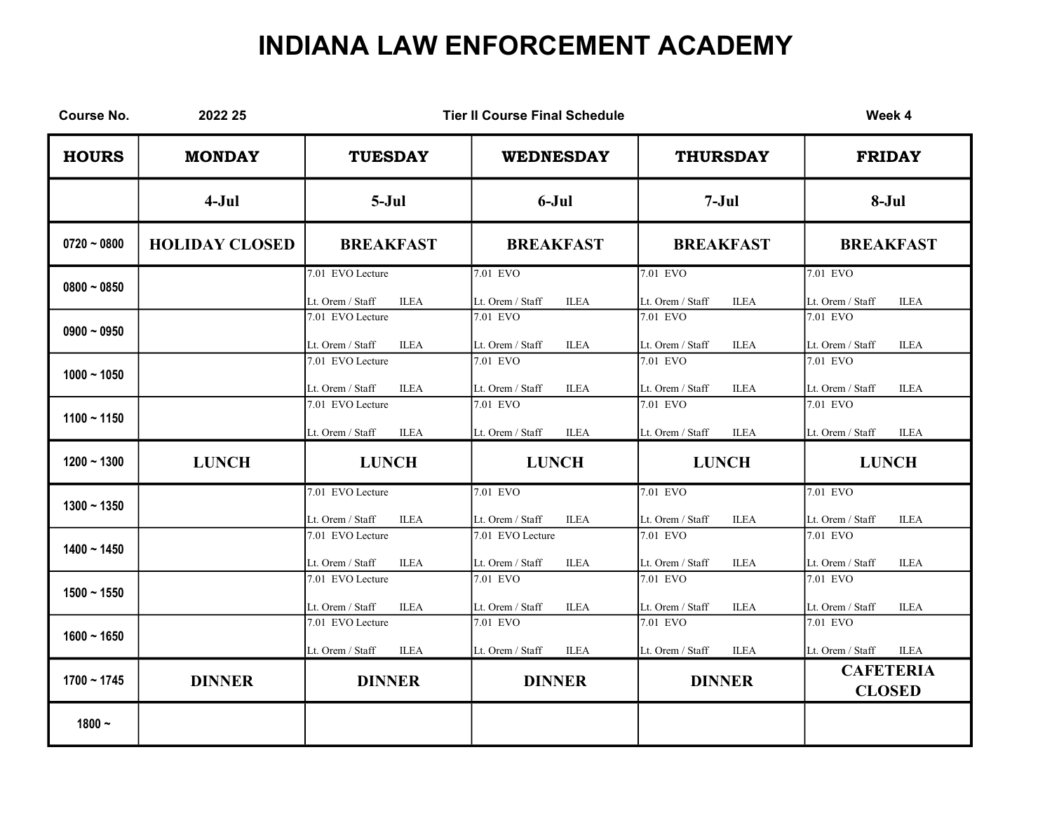| <b>Course No.</b> | 2022 25               |                                                     | <b>Tier II Course Final Schedule</b>                |                                             | Week 4                                      |
|-------------------|-----------------------|-----------------------------------------------------|-----------------------------------------------------|---------------------------------------------|---------------------------------------------|
| <b>HOURS</b>      | <b>MONDAY</b>         | <b>TUESDAY</b>                                      | <b>WEDNESDAY</b>                                    | <b>THURSDAY</b>                             | <b>FRIDAY</b>                               |
|                   | $4-Jul$               | $5-Jul$                                             | $6-Jul$                                             | $7-Jul$                                     | 8-Jul                                       |
| $0720 - 0800$     | <b>HOLIDAY CLOSED</b> | <b>BREAKFAST</b>                                    | <b>BREAKFAST</b>                                    | <b>BREAKFAST</b>                            | <b>BREAKFAST</b>                            |
| $0800 - 0850$     |                       | 7.01 EVO Lecture<br>Lt. Orem / Staff<br><b>ILEA</b> | 7.01 EVO<br><b>ILEA</b><br>Lt. Orem / Staff         | 7.01 EVO<br><b>ILEA</b><br>Lt. Orem / Staff | 7.01 EVO<br><b>ILEA</b><br>Lt. Orem / Staff |
| $0900 - 0950$     |                       | 7.01 EVO Lecture<br>Lt. Orem / Staff<br><b>ILEA</b> | 7.01 EVO<br>Lt. Orem / Staff<br><b>ILEA</b>         | 7.01 EVO<br>Lt. Orem / Staff<br><b>ILEA</b> | 7.01 EVO<br>Lt. Orem / Staff<br><b>ILEA</b> |
| $1000 - 1050$     |                       | 7.01 EVO Lecture<br>Lt. Orem / Staff<br><b>ILEA</b> | 7.01 EVO<br>Lt. Orem / Staff<br><b>ILEA</b>         | 7.01 EVO<br><b>ILEA</b><br>Lt. Orem / Staff | 7.01 EVO<br>Lt. Orem / Staff<br><b>ILEA</b> |
| $1100 - 1150$     |                       | 7.01 EVO Lecture<br>Lt. Orem / Staff<br><b>ILEA</b> | 7.01 EVO<br>Lt. Orem / Staff<br><b>ILEA</b>         | 7.01 EVO<br>Lt. Orem / Staff<br><b>ILEA</b> | 7.01 EVO<br>Lt. Orem / Staff<br><b>ILEA</b> |
| $1200 - 1300$     | <b>LUNCH</b>          | <b>LUNCH</b>                                        | <b>LUNCH</b>                                        | <b>LUNCH</b>                                | <b>LUNCH</b>                                |
| $1300 - 1350$     |                       | 7.01 EVO Lecture<br>Lt. Orem / Staff<br><b>ILEA</b> | 7.01 EVO<br>Lt. Orem / Staff<br><b>ILEA</b>         | 7.01 EVO<br>Lt. Orem / Staff<br><b>ILEA</b> | 7.01 EVO<br>Lt. Orem / Staff<br><b>ILEA</b> |
| $1400 - 1450$     |                       | 7.01 EVO Lecture<br>Lt. Orem / Staff<br><b>ILEA</b> | 7.01 EVO Lecture<br>Lt. Orem / Staff<br><b>ILEA</b> | 7.01 EVO<br>Lt. Orem / Staff<br><b>ILEA</b> | 7.01 EVO<br>Lt. Orem / Staff<br><b>ILEA</b> |
| $1500 - 1550$     |                       | 7.01 EVO Lecture<br>Lt. Orem / Staff<br><b>ILEA</b> | 7.01 EVO<br>Lt. Orem / Staff<br><b>ILEA</b>         | 7.01 EVO<br>Lt. Orem / Staff<br><b>ILEA</b> | 7.01 EVO<br>Lt. Orem / Staff<br><b>ILEA</b> |
| $1600 - 1650$     |                       | 7.01 EVO Lecture<br><b>ILEA</b><br>Lt. Orem / Staff | 7.01 EVO<br>Lt. Orem / Staff<br><b>ILEA</b>         | 7.01 EVO<br><b>ILEA</b><br>Lt. Orem / Staff | 7.01 EVO<br>Lt. Orem / Staff<br><b>ILEA</b> |
| $1700 - 1745$     | <b>DINNER</b>         | <b>DINNER</b>                                       | <b>DINNER</b>                                       | <b>DINNER</b>                               | <b>CAFETERIA</b><br><b>CLOSED</b>           |
| $1800 -$          |                       |                                                     |                                                     |                                             |                                             |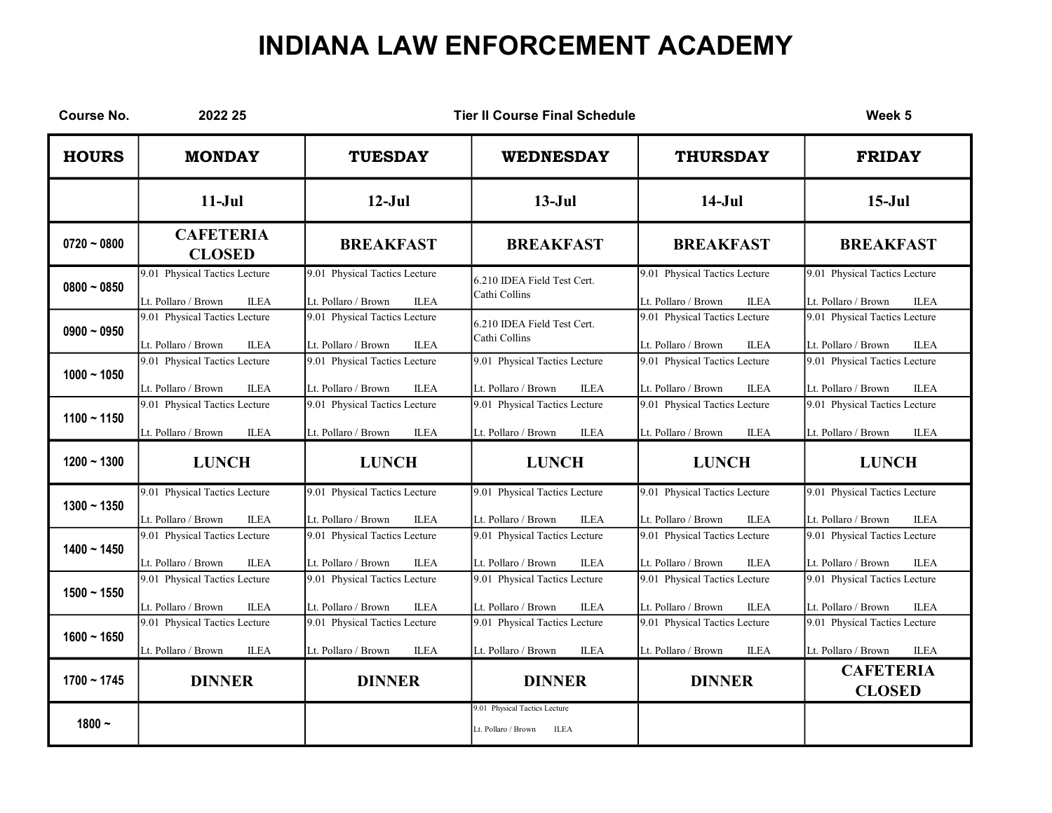| <b>Course No.</b> | 2022 25                                                             |                                                                     | <b>Tier II Course Final Schedule</b>                                |                                                                     | Week 5                                                              |
|-------------------|---------------------------------------------------------------------|---------------------------------------------------------------------|---------------------------------------------------------------------|---------------------------------------------------------------------|---------------------------------------------------------------------|
| <b>HOURS</b>      | <b>MONDAY</b>                                                       | <b>TUESDAY</b>                                                      | <b>WEDNESDAY</b>                                                    | <b>THURSDAY</b>                                                     | <b>FRIDAY</b>                                                       |
|                   | $11-Jul$                                                            | $12-Jul$                                                            | $13-Jul$                                                            | $14-Jul$                                                            | $15-Jul$                                                            |
| $0720 - 0800$     | <b>CAFETERIA</b><br><b>CLOSED</b>                                   | <b>BREAKFAST</b>                                                    | <b>BREAKFAST</b>                                                    | <b>BREAKFAST</b>                                                    | <b>BREAKFAST</b>                                                    |
| $0800 - 0850$     | 9.01 Physical Tactics Lecture<br>Lt. Pollaro / Brown<br><b>ILEA</b> | 9.01 Physical Tactics Lecture<br>Lt. Pollaro / Brown<br><b>ILEA</b> | 6.210 IDEA Field Test Cert.<br>Cathi Collins                        | 9.01 Physical Tactics Lecture<br>Lt. Pollaro / Brown<br><b>ILEA</b> | 9.01 Physical Tactics Lecture<br>Lt. Pollaro / Brown<br><b>ILEA</b> |
| $0900 - 0950$     | 9.01 Physical Tactics Lecture<br><b>ILEA</b><br>Lt. Pollaro / Brown | 9.01 Physical Tactics Lecture<br>Lt. Pollaro / Brown<br><b>ILEA</b> | 6.210 IDEA Field Test Cert.<br>Cathi Collins                        | 9.01 Physical Tactics Lecture<br>Lt. Pollaro / Brown<br><b>ILEA</b> | 9.01 Physical Tactics Lecture<br>Lt. Pollaro / Brown<br><b>ILEA</b> |
| $1000 - 1050$     | 9.01 Physical Tactics Lecture<br>Lt. Pollaro / Brown<br><b>ILEA</b> | 9.01 Physical Tactics Lecture<br>Lt. Pollaro / Brown<br><b>ILEA</b> | 9.01 Physical Tactics Lecture<br>Lt. Pollaro / Brown<br><b>ILEA</b> | 9.01 Physical Tactics Lecture<br>Lt. Pollaro / Brown<br><b>ILEA</b> | 9.01 Physical Tactics Lecture<br>Lt. Pollaro / Brown<br><b>ILEA</b> |
| $1100 - 1150$     | 9.01 Physical Tactics Lecture<br><b>ILEA</b><br>Lt. Pollaro / Brown | 9.01 Physical Tactics Lecture<br><b>ILEA</b><br>Lt. Pollaro / Brown | 9.01 Physical Tactics Lecture<br>Lt. Pollaro / Brown<br><b>ILEA</b> | 9.01 Physical Tactics Lecture<br><b>ILEA</b><br>Lt. Pollaro / Brown | 9.01 Physical Tactics Lecture<br>Lt. Pollaro / Brown<br><b>ILEA</b> |
| $1200 - 1300$     | <b>LUNCH</b>                                                        | <b>LUNCH</b>                                                        | <b>LUNCH</b>                                                        | <b>LUNCH</b>                                                        | <b>LUNCH</b>                                                        |
| $1300 - 1350$     | 9.01 Physical Tactics Lecture<br>Lt. Pollaro / Brown<br><b>ILEA</b> | 9.01 Physical Tactics Lecture<br><b>ILEA</b><br>Lt. Pollaro / Brown | 9.01 Physical Tactics Lecture<br>Lt. Pollaro / Brown<br><b>ILEA</b> | 9.01 Physical Tactics Lecture<br>Lt. Pollaro / Brown<br><b>ILEA</b> | 9.01 Physical Tactics Lecture<br>Lt. Pollaro / Brown<br><b>ILEA</b> |
| $1400 - 1450$     | 9.01 Physical Tactics Lecture<br>Lt. Pollaro / Brown<br><b>ILEA</b> | 9.01 Physical Tactics Lecture<br>Lt. Pollaro / Brown<br><b>ILEA</b> | 9.01 Physical Tactics Lecture<br>Lt. Pollaro / Brown<br><b>ILEA</b> | 9.01 Physical Tactics Lecture<br>Lt. Pollaro / Brown<br><b>ILEA</b> | 9.01 Physical Tactics Lecture<br>Lt. Pollaro / Brown<br><b>ILEA</b> |
| $1500 - 1550$     | 9.01 Physical Tactics Lecture<br><b>ILEA</b><br>Lt. Pollaro / Brown | 9.01 Physical Tactics Lecture<br>Lt. Pollaro / Brown<br><b>ILEA</b> | 9.01 Physical Tactics Lecture<br>Lt. Pollaro / Brown<br><b>ILEA</b> | 9.01 Physical Tactics Lecture<br>Lt. Pollaro / Brown<br><b>ILEA</b> | 9.01 Physical Tactics Lecture<br>Lt. Pollaro / Brown<br><b>ILEA</b> |
| $1600 - 1650$     | 9.01 Physical Tactics Lecture<br>Lt. Pollaro / Brown<br><b>ILEA</b> | 9.01 Physical Tactics Lecture<br>Lt. Pollaro / Brown<br><b>ILEA</b> | 9.01 Physical Tactics Lecture<br>Lt. Pollaro / Brown<br><b>ILEA</b> | 9.01 Physical Tactics Lecture<br>Lt. Pollaro / Brown<br><b>ILEA</b> | 9.01 Physical Tactics Lecture<br>Lt. Pollaro / Brown<br><b>ILEA</b> |
| $1700 - 1745$     | <b>DINNER</b>                                                       | <b>DINNER</b>                                                       | <b>DINNER</b>                                                       | <b>DINNER</b>                                                       | <b>CAFETERIA</b><br><b>CLOSED</b>                                   |
| $1800 -$          |                                                                     |                                                                     | 9.01 Physical Tactics Lecture<br>Lt. Pollaro / Brown<br><b>ILEA</b> |                                                                     |                                                                     |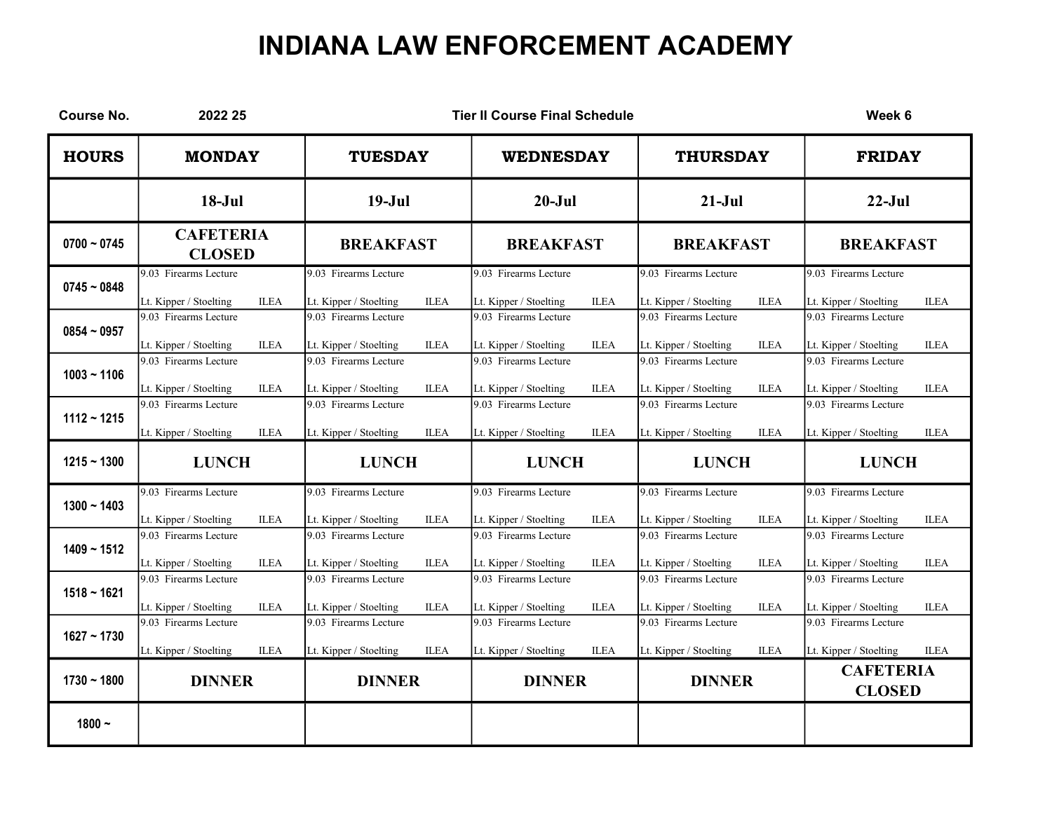| <b>Course No.</b> | 2022 25                                                                                                 |                                                                                                         | <b>Tier II Course Final Schedule</b>                                                                    |                                                                                                         | Week 6                                                                                                  |
|-------------------|---------------------------------------------------------------------------------------------------------|---------------------------------------------------------------------------------------------------------|---------------------------------------------------------------------------------------------------------|---------------------------------------------------------------------------------------------------------|---------------------------------------------------------------------------------------------------------|
| <b>HOURS</b>      | <b>MONDAY</b>                                                                                           | <b>TUESDAY</b>                                                                                          | <b>WEDNESDAY</b>                                                                                        | <b>THURSDAY</b>                                                                                         | <b>FRIDAY</b>                                                                                           |
|                   | $18-Jul$                                                                                                | $19-Jul$                                                                                                | $20 - Jul$                                                                                              | $21-Jul$                                                                                                | $22-Jul$                                                                                                |
| $0700 - 0745$     | <b>CAFETERIA</b><br><b>CLOSED</b>                                                                       | <b>BREAKFAST</b>                                                                                        | <b>BREAKFAST</b>                                                                                        | <b>BREAKFAST</b>                                                                                        | <b>BREAKFAST</b>                                                                                        |
| $0745 - 0848$     | 9.03 Firearms Lecture<br><b>ILEA</b><br>Lt. Kipper / Stoelting                                          | 9.03 Firearms Lecture<br>Lt. Kipper / Stoelting<br><b>ILEA</b>                                          | 9.03 Firearms Lecture<br><b>ILEA</b><br>Lt. Kipper / Stoelting                                          | 9.03 Firearms Lecture<br><b>ILEA</b><br>Lt. Kipper / Stoelting                                          | 9.03 Firearms Lecture<br><b>ILEA</b><br>Lt. Kipper / Stoelting                                          |
| $0854 - 0957$     | 9.03 Firearms Lecture<br><b>ILEA</b><br>Lt. Kipper / Stoelting                                          | 9.03 Firearms Lecture<br><b>ILEA</b><br>Lt. Kipper / Stoelting                                          | 9.03 Firearms Lecture<br><b>ILEA</b><br>Lt. Kipper / Stoelting                                          | 9.03 Firearms Lecture<br><b>ILEA</b><br>Lt. Kipper / Stoelting                                          | $\overline{9.03}$ Firearms Lecture<br><b>ILEA</b><br>Lt. Kipper / Stoelting                             |
| $1003 - 1106$     | 9.03 Firearms Lecture                                                                                   | 9.03 Firearms Lecture                                                                                   | 9.03 Firearms Lecture                                                                                   | 9.03 Firearms Lecture                                                                                   | 9.03 Firearms Lecture                                                                                   |
| $1112 - 1215$     | Lt. Kipper / Stoelting<br><b>ILEA</b><br>9.03 Firearms Lecture<br><b>ILEA</b><br>Lt. Kipper / Stoelting | Lt. Kipper / Stoelting<br><b>ILEA</b><br>9.03 Firearms Lecture<br>Lt. Kipper / Stoelting<br><b>ILEA</b> | Lt. Kipper / Stoelting<br><b>ILEA</b><br>9.03 Firearms Lecture<br>Lt. Kipper / Stoelting<br><b>ILEA</b> | Lt. Kipper / Stoelting<br><b>ILEA</b><br>9.03 Firearms Lecture<br><b>ILEA</b><br>Lt. Kipper / Stoelting | Lt. Kipper / Stoelting<br><b>ILEA</b><br>9.03 Firearms Lecture<br><b>ILEA</b><br>Lt. Kipper / Stoelting |
| $1215 - 1300$     | <b>LUNCH</b>                                                                                            | <b>LUNCH</b>                                                                                            | <b>LUNCH</b>                                                                                            | <b>LUNCH</b>                                                                                            | <b>LUNCH</b>                                                                                            |
| $1300 - 1403$     | 9.03 Firearms Lecture<br><b>ILEA</b><br>Lt. Kipper / Stoelting                                          | 9.03 Firearms Lecture<br>Lt. Kipper / Stoelting<br><b>ILEA</b>                                          | 9.03 Firearms Lecture<br>Lt. Kipper / Stoelting<br><b>ILEA</b>                                          | 9.03 Firearms Lecture<br>Lt. Kipper / Stoelting<br><b>ILEA</b>                                          | 9.03 Firearms Lecture<br><b>ILEA</b><br>Lt. Kipper / Stoelting                                          |
| $1409 - 1512$     | 9.03 Firearms Lecture                                                                                   | 9.03 Firearms Lecture                                                                                   | 9.03 Firearms Lecture                                                                                   | 9.03 Firearms Lecture                                                                                   | 9.03 Firearms Lecture                                                                                   |
| $1518 - 1621$     | Lt. Kipper / Stoelting<br><b>ILEA</b><br>9.03 Firearms Lecture                                          | Lt. Kipper / Stoelting<br><b>ILEA</b><br>9.03 Firearms Lecture                                          | Lt. Kipper / Stoelting<br><b>ILEA</b><br>9.03 Firearms Lecture                                          | Lt. Kipper / Stoelting<br><b>ILEA</b><br>9.03 Firearms Lecture                                          | Lt. Kipper / Stoelting<br><b>ILEA</b><br>9.03 Firearms Lecture                                          |
| $1627 - 1730$     | <b>ILEA</b><br>Lt. Kipper / Stoelting<br>9.03 Firearms Lecture                                          | <b>ILEA</b><br>Lt. Kipper / Stoelting<br>9.03 Firearms Lecture                                          | <b>ILEA</b><br>Lt. Kipper / Stoelting<br>9.03 Firearms Lecture                                          | Lt. Kipper / Stoelting<br><b>ILEA</b><br>9.03 Firearms Lecture                                          | Lt. Kipper / Stoelting<br><b>ILEA</b><br>$\overline{9.03}$ Firearms Lecture                             |
| $1730 - 1800$     | Lt. Kipper / Stoelting<br><b>ILEA</b><br><b>DINNER</b>                                                  | Lt. Kipper / Stoelting<br><b>ILEA</b><br><b>DINNER</b>                                                  | Lt. Kipper / Stoelting<br><b>ILEA</b><br><b>DINNER</b>                                                  | <b>ILEA</b><br>Lt. Kipper / Stoelting<br><b>DINNER</b>                                                  | Lt. Kipper / Stoelting<br><b>ILEA</b><br><b>CAFETERIA</b><br><b>CLOSED</b>                              |
| $1800 -$          |                                                                                                         |                                                                                                         |                                                                                                         |                                                                                                         |                                                                                                         |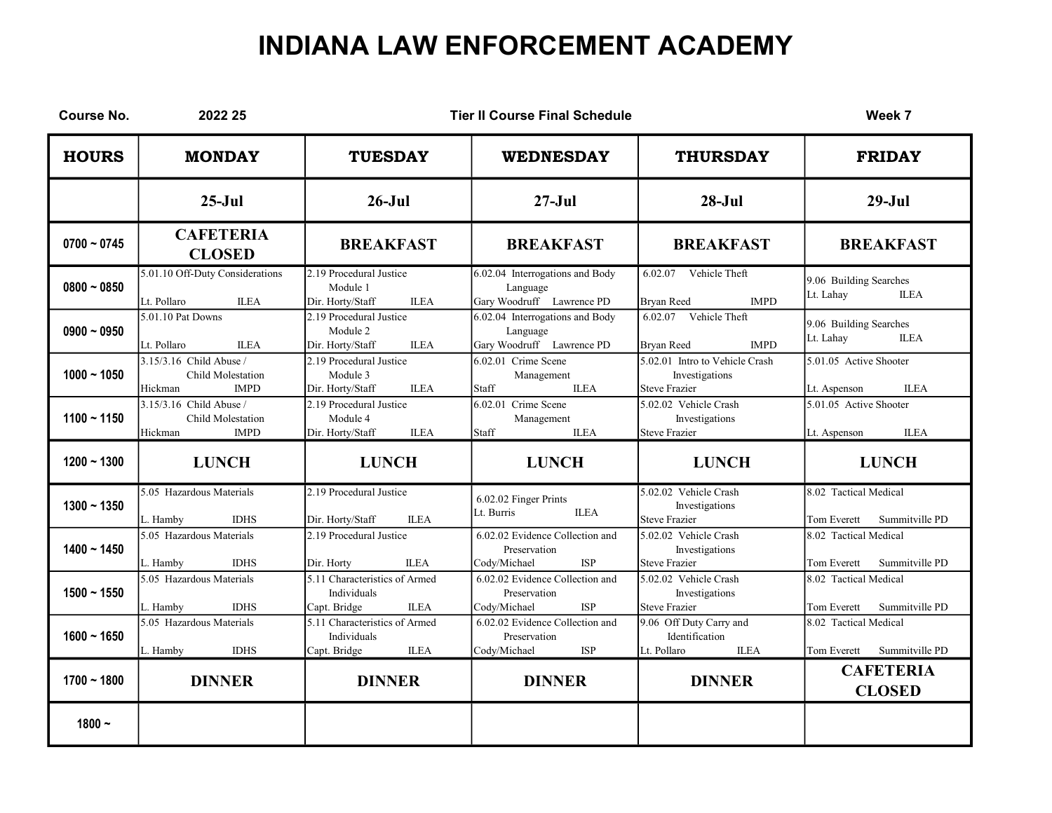| <b>Course No.</b> | 2022 25                                                                |                                                                                    | <b>Tier II Course Final Schedule</b>                                          |                                                                          | Week 7                                                 |
|-------------------|------------------------------------------------------------------------|------------------------------------------------------------------------------------|-------------------------------------------------------------------------------|--------------------------------------------------------------------------|--------------------------------------------------------|
| <b>HOURS</b>      | <b>MONDAY</b>                                                          | <b>TUESDAY</b>                                                                     | <b>WEDNESDAY</b>                                                              | <b>THURSDAY</b>                                                          | <b>FRIDAY</b>                                          |
|                   | $25-Jul$                                                               | $26 - Jul$                                                                         | $27 - Jul$                                                                    | $28-Jul$                                                                 | $29-Jul$                                               |
| $0700 - 0745$     | <b>CAFETERIA</b><br><b>CLOSED</b>                                      | <b>BREAKFAST</b>                                                                   | <b>BREAKFAST</b>                                                              | <b>BREAKFAST</b>                                                         | <b>BREAKFAST</b>                                       |
| $0800 - 0850$     | 5.01.10 Off-Duty Considerations<br>Lt. Pollaro<br><b>ILEA</b>          | 2.19 Procedural Justice<br>Module 1<br><b>ILEA</b><br>Dir. Horty/Staff             | 6.02.04 Interrogations and Body<br>Language<br>Gary Woodruff Lawrence PD      | 6.02.07 Vehicle Theft<br><b>IMPD</b><br><b>Brvan Reed</b>                | 9.06 Building Searches<br>Lt. Lahay<br><b>ILEA</b>     |
| $0900 - 0950$     | 5.01.10 Pat Downs<br>Lt. Pollaro<br><b>ILEA</b>                        | 2.19 Procedural Justice<br>Module 2<br>Dir. Horty/Staff<br><b>ILEA</b>             | 6.02.04 Interrogations and Body<br>Language<br>Gary Woodruff Lawrence PD      | 6.02.07 Vehicle Theft<br><b>Bryan Reed</b><br><b>IMPD</b>                | 9.06 Building Searches<br>Lt. Lahay<br><b>ILEA</b>     |
| $1000 - 1050$     | 3.15/3.16 Child Abuse /<br>Child Molestation<br><b>IMPD</b><br>Hickman | 2.19 Procedural Justice<br>Module 3<br><b>ILEA</b><br>Dir. Horty/Staff             | $6.02.01$ Crime Scene<br>Management<br><b>ILEA</b><br>Staff                   | 5.02.01 Intro to Vehicle Crash<br>Investigations<br><b>Steve Frazier</b> | 5.01.05 Active Shooter<br><b>ILEA</b><br>Lt. Aspenson  |
| $1100 - 1150$     | 3.15/3.16 Child Abuse /<br>Child Molestation<br><b>IMPD</b><br>Hickman | 2.19 Procedural Justice<br>Module 4<br><b>ILEA</b><br>Dir. Horty/Staff             | 6.02.01 Crime Scene<br>Management<br>Staff<br><b>ILEA</b>                     | 5.02.02 Vehicle Crash<br>Investigations<br><b>Steve Frazier</b>          | 5.01.05 Active Shooter<br><b>ILEA</b><br>Lt. Aspenson  |
| $1200 - 1300$     | <b>LUNCH</b>                                                           | <b>LUNCH</b>                                                                       | <b>LUNCH</b>                                                                  | <b>LUNCH</b>                                                             | <b>LUNCH</b>                                           |
| $1300 - 1350$     | 5.05 Hazardous Materials<br><b>IDHS</b><br>L. Hamby                    | 2.19 Procedural Justice<br>Dir. Horty/Staff<br><b>ILEA</b>                         | 6.02.02 Finger Prints<br><b>ILEA</b><br>Lt. Burris                            | 5.02.02 Vehicle Crash<br>Investigations<br><b>Steve Frazier</b>          | 8.02 Tactical Medical<br>Summitville PD<br>Tom Everett |
| $1400 - 1450$     | 5.05 Hazardous Materials<br>L. Hamby<br><b>IDHS</b>                    | 2.19 Procedural Justice<br>Dir. Horty<br><b>ILEA</b>                               | 6.02.02 Evidence Collection and<br>Preservation<br><b>ISP</b><br>Cody/Michael | 5.02.02 Vehicle Crash<br>Investigations<br><b>Steve Frazier</b>          | 8.02 Tactical Medical<br>Tom Everett<br>Summitville PD |
| $1500 - 1550$     | 5.05 Hazardous Materials<br><b>IDHS</b><br>L. Hamby                    | 5.11 Characteristics of Armed<br>Individuals<br><b>ILEA</b><br>Capt. Bridge        | 6.02.02 Evidence Collection and<br>Preservation<br><b>ISP</b><br>Cody/Michael | 5.02.02 Vehicle Crash<br>Investigations<br><b>Steve Frazier</b>          | 8.02 Tactical Medical<br>Tom Everett<br>Summitville PD |
| $1600 - 1650$     | 5.05 Hazardous Materials<br>L. Hamby<br><b>IDHS</b>                    | 5.11 Characteristics of Armed<br><b>Individuals</b><br><b>ILEA</b><br>Capt. Bridge | 6.02.02 Evidence Collection and<br>Preservation<br>Cody/Michael<br><b>ISP</b> | 9.06 Off Duty Carry and<br>Identification<br>Lt. Pollaro<br><b>ILEA</b>  | 8.02 Tactical Medical<br>Tom Everett<br>Summitville PD |
| $1700 - 1800$     | <b>DINNER</b>                                                          | <b>DINNER</b>                                                                      | <b>DINNER</b>                                                                 | <b>DINNER</b>                                                            | <b>CAFETERIA</b><br><b>CLOSED</b>                      |
| $1800 -$          |                                                                        |                                                                                    |                                                                               |                                                                          |                                                        |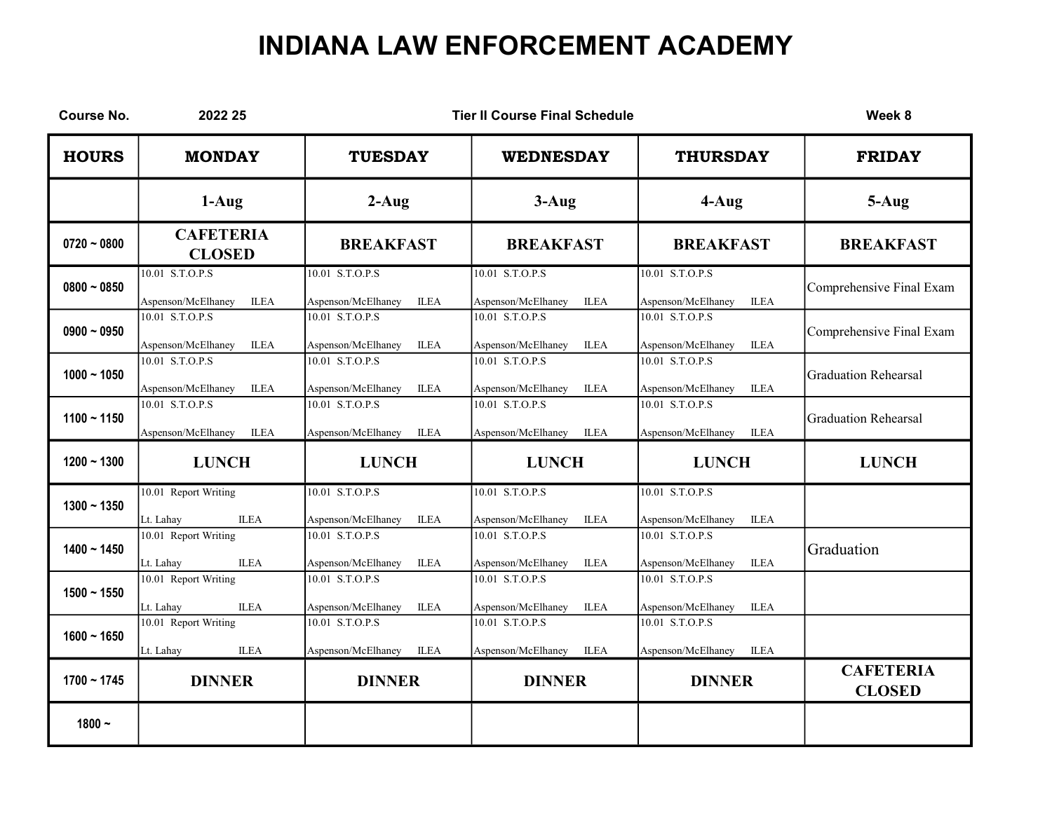| <b>Course No.</b> | 2022 25                                                |                                                      | <b>Tier II Course Final Schedule</b>                   |                                                      | Week 8                            |
|-------------------|--------------------------------------------------------|------------------------------------------------------|--------------------------------------------------------|------------------------------------------------------|-----------------------------------|
| <b>HOURS</b>      | <b>MONDAY</b>                                          | <b>TUESDAY</b>                                       | <b>WEDNESDAY</b>                                       | <b>THURSDAY</b>                                      | <b>FRIDAY</b>                     |
|                   | $1-Aug$                                                | $2-Aug$                                              | $3-Aug$                                                | $4-Au$ g                                             | 5-Aug                             |
| $0720 - 0800$     | <b>CAFETERIA</b><br><b>CLOSED</b>                      | <b>BREAKFAST</b>                                     | <b>BREAKFAST</b>                                       | <b>BREAKFAST</b>                                     | <b>BREAKFAST</b>                  |
| $0800 - 0850$     | 10.01 S.T.O.P.S<br><b>ILEA</b><br>Aspenson/McElhaney   | 10.01 S.T.O.P.S<br><b>ILEA</b><br>Aspenson/McElhaney | 10.01 S.T.O.P.S<br><b>ILEA</b><br>Aspenson/McElhaney   | 10.01 S.T.O.P.S<br><b>ILEA</b><br>Aspenson/McElhaney | Comprehensive Final Exam          |
| $0900 - 0950$     | 10.01 S.T.O.P.S<br>Aspenson/McElhaney<br><b>ILEA</b>   | 10.01 S.T.O.P.S<br><b>ILEA</b><br>Aspenson/McElhaney | 10.01 S.T.O.P.S<br>Aspenson/McElhaney<br><b>ILEA</b>   | 10.01 S.T.O.P.S<br><b>ILEA</b><br>Aspenson/McElhaney | Comprehensive Final Exam          |
| $1000 - 1050$     | 10.01 S.T.O.P.S<br>Aspenson/McElhaney<br><b>ILEA</b>   | 10.01 S.T.O.P.S<br><b>ILEA</b><br>Aspenson/McElhaney | 10.01 S.T.O.P.S<br><b>ILEA</b><br>Aspenson/McElhaney   | 10.01 S.T.O.P.S<br>Aspenson/McElhaney<br><b>ILEA</b> | <b>Graduation Rehearsal</b>       |
| $1100 - 1150$     | $10.01$ S.T.O.P.S<br><b>ILEA</b><br>Aspenson/McElhaney | 10.01 S.T.O.P.S<br><b>ILEA</b><br>Aspenson/McElhaney | 10.01 S.T.O.P.S<br><b>ILEA</b><br>Aspenson/McElhaney   | 10.01 S.T.O.P.S<br><b>ILEA</b><br>Aspenson/McElhaney | Graduation Rehearsal              |
| $1200 - 1300$     | <b>LUNCH</b>                                           | <b>LUNCH</b>                                         | <b>LUNCH</b>                                           | <b>LUNCH</b>                                         | <b>LUNCH</b>                      |
| $1300 - 1350$     | 10.01 Report Writing<br><b>ILEA</b><br>Lt. Lahay       | 10.01 S.T.O.P.S<br>Aspenson/McElhaney<br><b>ILEA</b> | 10.01 S.T.O.P.S<br>Aspenson/McElhaney<br><b>ILEA</b>   | 10.01 S.T.O.P.S<br>$\rm ILEA$<br>Aspenson/McElhaney  |                                   |
| $1400 - 1450$     | 10.01 Report Writing<br><b>ILEA</b><br>Lt. Lahay       | 10.01 S.T.O.P.S<br>Aspenson/McElhaney<br><b>ILEA</b> | 10.01 S.T.O.P.S<br>Aspenson/McElhaney<br><b>ILEA</b>   | 10.01 S.T.O.P.S<br>Aspenson/McElhaney<br><b>ILEA</b> | Graduation                        |
| $1500 - 1550$     | 10.01 Report Writing<br><b>ILEA</b><br>Lt. Lahay       | 10.01 S.T.O.P.S<br>Aspenson/McElhaney<br><b>ILEA</b> | $10.01$ S.T.O.P.S<br>Aspenson/McElhaney<br><b>ILEA</b> | 10.01 S.T.O.P.S<br><b>ILEA</b><br>Aspenson/McElhaney |                                   |
| $1600 - 1650$     | 10.01 Report Writing<br>Lt. Lahay<br><b>ILEA</b>       | 10.01 S.T.O.P.S<br>ILEA<br>Aspenson/McElhaney        | 10.01 S.T.O.P.S<br>Aspenson/McElhaney<br><b>ILEA</b>   | 10.01 S.T.O.P.S<br>Aspenson/McElhaney<br><b>ILEA</b> |                                   |
| $1700 - 1745$     | <b>DINNER</b>                                          | <b>DINNER</b>                                        | <b>DINNER</b>                                          | <b>DINNER</b>                                        | <b>CAFETERIA</b><br><b>CLOSED</b> |
| $1800 -$          |                                                        |                                                      |                                                        |                                                      |                                   |